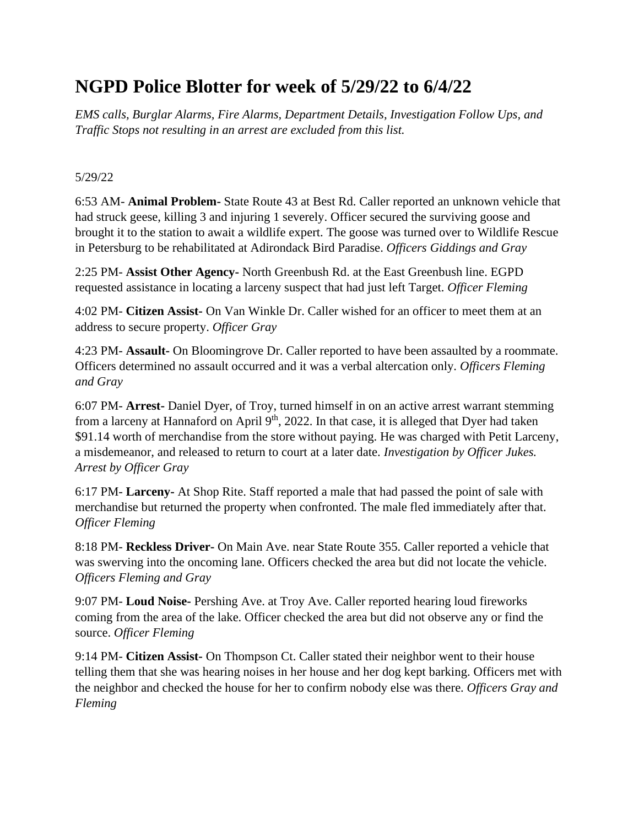# **NGPD Police Blotter for week of 5/29/22 to 6/4/22**

*EMS calls, Burglar Alarms, Fire Alarms, Department Details, Investigation Follow Ups, and Traffic Stops not resulting in an arrest are excluded from this list.*

### 5/29/22

6:53 AM- **Animal Problem-** State Route 43 at Best Rd. Caller reported an unknown vehicle that had struck geese, killing 3 and injuring 1 severely. Officer secured the surviving goose and brought it to the station to await a wildlife expert. The goose was turned over to Wildlife Rescue in Petersburg to be rehabilitated at Adirondack Bird Paradise. *Officers Giddings and Gray*

2:25 PM- **Assist Other Agency-** North Greenbush Rd. at the East Greenbush line. EGPD requested assistance in locating a larceny suspect that had just left Target. *Officer Fleming*

4:02 PM- **Citizen Assist-** On Van Winkle Dr. Caller wished for an officer to meet them at an address to secure property. *Officer Gray*

4:23 PM- **Assault-** On Bloomingrove Dr. Caller reported to have been assaulted by a roommate. Officers determined no assault occurred and it was a verbal altercation only. *Officers Fleming and Gray*

6:07 PM- **Arrest-** Daniel Dyer, of Troy, turned himself in on an active arrest warrant stemming from a larceny at Hannaford on April 9<sup>th</sup>, 2022. In that case, it is alleged that Dyer had taken \$91.14 worth of merchandise from the store without paying. He was charged with Petit Larceny, a misdemeanor, and released to return to court at a later date. *Investigation by Officer Jukes. Arrest by Officer Gray*

6:17 PM- **Larceny-** At Shop Rite. Staff reported a male that had passed the point of sale with merchandise but returned the property when confronted. The male fled immediately after that. *Officer Fleming*

8:18 PM- **Reckless Driver-** On Main Ave. near State Route 355. Caller reported a vehicle that was swerving into the oncoming lane. Officers checked the area but did not locate the vehicle. *Officers Fleming and Gray*

9:07 PM- **Loud Noise-** Pershing Ave. at Troy Ave. Caller reported hearing loud fireworks coming from the area of the lake. Officer checked the area but did not observe any or find the source. *Officer Fleming*

9:14 PM- **Citizen Assist-** On Thompson Ct. Caller stated their neighbor went to their house telling them that she was hearing noises in her house and her dog kept barking. Officers met with the neighbor and checked the house for her to confirm nobody else was there. *Officers Gray and Fleming*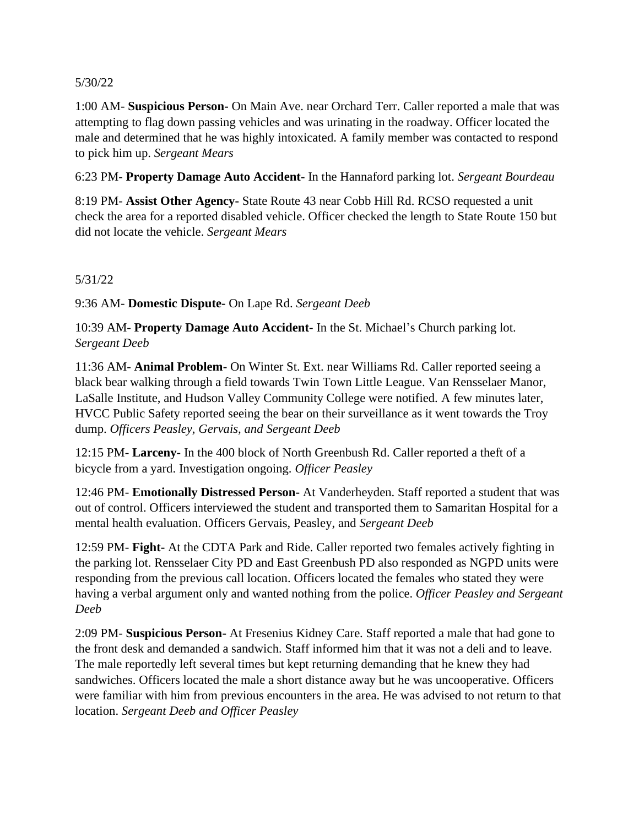#### 5/30/22

1:00 AM- **Suspicious Person-** On Main Ave. near Orchard Terr. Caller reported a male that was attempting to flag down passing vehicles and was urinating in the roadway. Officer located the male and determined that he was highly intoxicated. A family member was contacted to respond to pick him up. *Sergeant Mears*

6:23 PM- **Property Damage Auto Accident-** In the Hannaford parking lot. *Sergeant Bourdeau*

8:19 PM- **Assist Other Agency-** State Route 43 near Cobb Hill Rd. RCSO requested a unit check the area for a reported disabled vehicle. Officer checked the length to State Route 150 but did not locate the vehicle. *Sergeant Mears*

## 5/31/22

9:36 AM- **Domestic Dispute-** On Lape Rd. *Sergeant Deeb*

10:39 AM- **Property Damage Auto Accident-** In the St. Michael's Church parking lot. *Sergeant Deeb*

11:36 AM- **Animal Problem-** On Winter St. Ext. near Williams Rd. Caller reported seeing a black bear walking through a field towards Twin Town Little League. Van Rensselaer Manor, LaSalle Institute, and Hudson Valley Community College were notified. A few minutes later, HVCC Public Safety reported seeing the bear on their surveillance as it went towards the Troy dump. *Officers Peasley, Gervais, and Sergeant Deeb*

12:15 PM- **Larceny-** In the 400 block of North Greenbush Rd. Caller reported a theft of a bicycle from a yard. Investigation ongoing. *Officer Peasley*

12:46 PM- **Emotionally Distressed Person-** At Vanderheyden. Staff reported a student that was out of control. Officers interviewed the student and transported them to Samaritan Hospital for a mental health evaluation. Officers Gervais, Peasley, and *Sergeant Deeb*

12:59 PM- **Fight-** At the CDTA Park and Ride. Caller reported two females actively fighting in the parking lot. Rensselaer City PD and East Greenbush PD also responded as NGPD units were responding from the previous call location. Officers located the females who stated they were having a verbal argument only and wanted nothing from the police. *Officer Peasley and Sergeant Deeb*

2:09 PM- **Suspicious Person-** At Fresenius Kidney Care. Staff reported a male that had gone to the front desk and demanded a sandwich. Staff informed him that it was not a deli and to leave. The male reportedly left several times but kept returning demanding that he knew they had sandwiches. Officers located the male a short distance away but he was uncooperative. Officers were familiar with him from previous encounters in the area. He was advised to not return to that location. *Sergeant Deeb and Officer Peasley*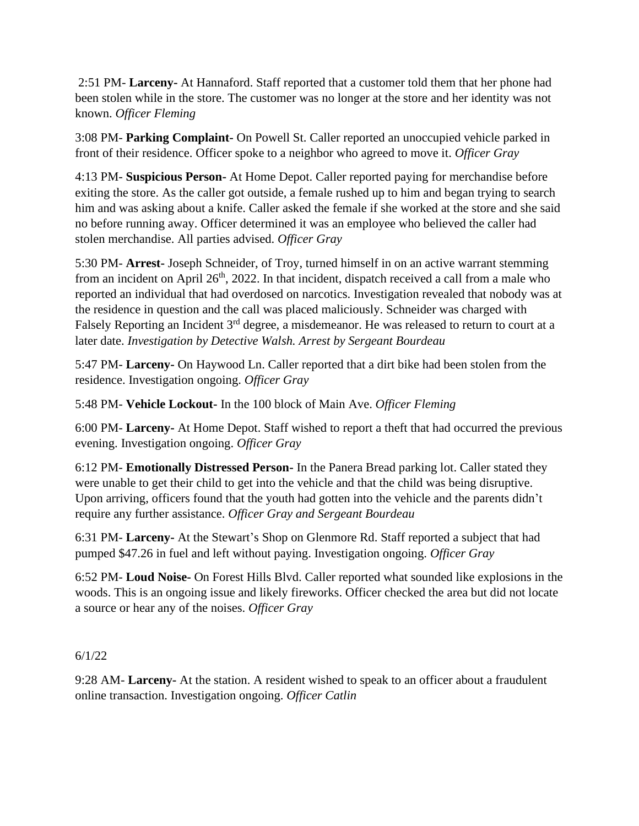2:51 PM- **Larceny-** At Hannaford. Staff reported that a customer told them that her phone had been stolen while in the store. The customer was no longer at the store and her identity was not known. *Officer Fleming*

3:08 PM- **Parking Complaint-** On Powell St. Caller reported an unoccupied vehicle parked in front of their residence. Officer spoke to a neighbor who agreed to move it. *Officer Gray*

4:13 PM- **Suspicious Person-** At Home Depot. Caller reported paying for merchandise before exiting the store. As the caller got outside, a female rushed up to him and began trying to search him and was asking about a knife. Caller asked the female if she worked at the store and she said no before running away. Officer determined it was an employee who believed the caller had stolen merchandise. All parties advised. *Officer Gray*

5:30 PM- **Arrest-** Joseph Schneider, of Troy, turned himself in on an active warrant stemming from an incident on April  $26<sup>th</sup>$ , 2022. In that incident, dispatch received a call from a male who reported an individual that had overdosed on narcotics. Investigation revealed that nobody was at the residence in question and the call was placed maliciously. Schneider was charged with Falsely Reporting an Incident 3<sup>rd</sup> degree, a misdemeanor. He was released to return to court at a later date. *Investigation by Detective Walsh. Arrest by Sergeant Bourdeau*

5:47 PM- **Larceny-** On Haywood Ln. Caller reported that a dirt bike had been stolen from the residence. Investigation ongoing. *Officer Gray*

5:48 PM- **Vehicle Lockout-** In the 100 block of Main Ave. *Officer Fleming*

6:00 PM- **Larceny-** At Home Depot. Staff wished to report a theft that had occurred the previous evening. Investigation ongoing. *Officer Gray*

6:12 PM- **Emotionally Distressed Person-** In the Panera Bread parking lot. Caller stated they were unable to get their child to get into the vehicle and that the child was being disruptive. Upon arriving, officers found that the youth had gotten into the vehicle and the parents didn't require any further assistance. *Officer Gray and Sergeant Bourdeau*

6:31 PM- **Larceny-** At the Stewart's Shop on Glenmore Rd. Staff reported a subject that had pumped \$47.26 in fuel and left without paying. Investigation ongoing. *Officer Gray*

6:52 PM- **Loud Noise-** On Forest Hills Blvd. Caller reported what sounded like explosions in the woods. This is an ongoing issue and likely fireworks. Officer checked the area but did not locate a source or hear any of the noises. *Officer Gray*

# 6/1/22

9:28 AM- **Larceny-** At the station. A resident wished to speak to an officer about a fraudulent online transaction. Investigation ongoing. *Officer Catlin*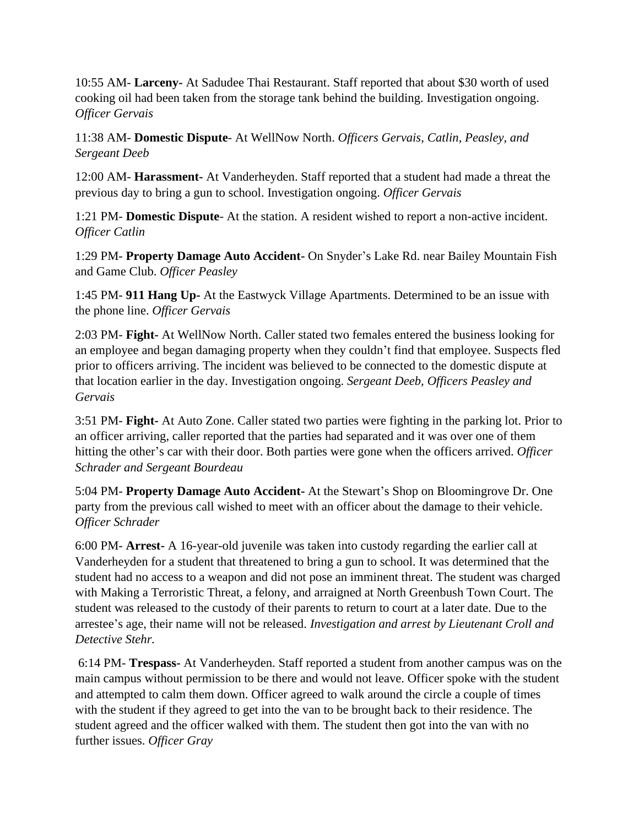10:55 AM- **Larceny-** At Sadudee Thai Restaurant. Staff reported that about \$30 worth of used cooking oil had been taken from the storage tank behind the building. Investigation ongoing. *Officer Gervais*

11:38 AM- **Domestic Dispute**- At WellNow North. *Officers Gervais, Catlin, Peasley, and Sergeant Deeb*

12:00 AM- **Harassment-** At Vanderheyden. Staff reported that a student had made a threat the previous day to bring a gun to school. Investigation ongoing. *Officer Gervais*

1:21 PM- **Domestic Dispute**- At the station. A resident wished to report a non-active incident. *Officer Catlin*

1:29 PM- **Property Damage Auto Accident-** On Snyder's Lake Rd. near Bailey Mountain Fish and Game Club. *Officer Peasley*

1:45 PM- **911 Hang Up-** At the Eastwyck Village Apartments. Determined to be an issue with the phone line. *Officer Gervais*

2:03 PM- **Fight-** At WellNow North. Caller stated two females entered the business looking for an employee and began damaging property when they couldn't find that employee. Suspects fled prior to officers arriving. The incident was believed to be connected to the domestic dispute at that location earlier in the day. Investigation ongoing. *Sergeant Deeb, Officers Peasley and Gervais*

3:51 PM- **Fight-** At Auto Zone. Caller stated two parties were fighting in the parking lot. Prior to an officer arriving, caller reported that the parties had separated and it was over one of them hitting the other's car with their door. Both parties were gone when the officers arrived. *Officer Schrader and Sergeant Bourdeau*

5:04 PM- **Property Damage Auto Accident-** At the Stewart's Shop on Bloomingrove Dr. One party from the previous call wished to meet with an officer about the damage to their vehicle. *Officer Schrader*

6:00 PM- **Arrest-** A 16-year-old juvenile was taken into custody regarding the earlier call at Vanderheyden for a student that threatened to bring a gun to school. It was determined that the student had no access to a weapon and did not pose an imminent threat. The student was charged with Making a Terroristic Threat, a felony, and arraigned at North Greenbush Town Court. The student was released to the custody of their parents to return to court at a later date. Due to the arrestee's age, their name will not be released. *Investigation and arrest by Lieutenant Croll and Detective Stehr.* 

6:14 PM- **Trespass-** At Vanderheyden. Staff reported a student from another campus was on the main campus without permission to be there and would not leave. Officer spoke with the student and attempted to calm them down. Officer agreed to walk around the circle a couple of times with the student if they agreed to get into the van to be brought back to their residence. The student agreed and the officer walked with them. The student then got into the van with no further issues. *Officer Gray*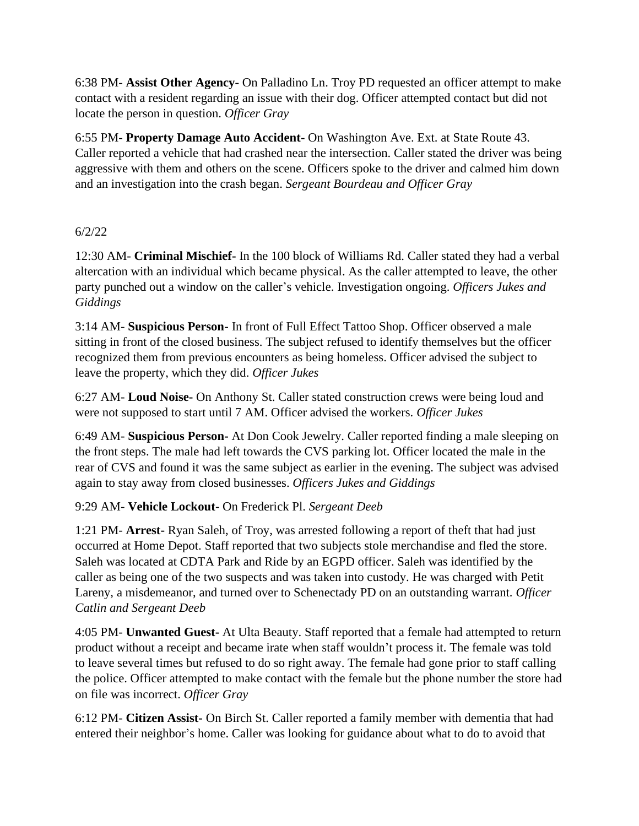6:38 PM- **Assist Other Agency-** On Palladino Ln. Troy PD requested an officer attempt to make contact with a resident regarding an issue with their dog. Officer attempted contact but did not locate the person in question. *Officer Gray*

6:55 PM- **Property Damage Auto Accident-** On Washington Ave. Ext. at State Route 43. Caller reported a vehicle that had crashed near the intersection. Caller stated the driver was being aggressive with them and others on the scene. Officers spoke to the driver and calmed him down and an investigation into the crash began. *Sergeant Bourdeau and Officer Gray*

# 6/2/22

12:30 AM- **Criminal Mischief-** In the 100 block of Williams Rd. Caller stated they had a verbal altercation with an individual which became physical. As the caller attempted to leave, the other party punched out a window on the caller's vehicle. Investigation ongoing. *Officers Jukes and Giddings*

3:14 AM- **Suspicious Person-** In front of Full Effect Tattoo Shop. Officer observed a male sitting in front of the closed business. The subject refused to identify themselves but the officer recognized them from previous encounters as being homeless. Officer advised the subject to leave the property, which they did. *Officer Jukes*

6:27 AM- **Loud Noise-** On Anthony St. Caller stated construction crews were being loud and were not supposed to start until 7 AM. Officer advised the workers. *Officer Jukes*

6:49 AM- **Suspicious Person-** At Don Cook Jewelry. Caller reported finding a male sleeping on the front steps. The male had left towards the CVS parking lot. Officer located the male in the rear of CVS and found it was the same subject as earlier in the evening. The subject was advised again to stay away from closed businesses. *Officers Jukes and Giddings*

### 9:29 AM- **Vehicle Lockout-** On Frederick Pl. *Sergeant Deeb*

1:21 PM- **Arrest-** Ryan Saleh, of Troy, was arrested following a report of theft that had just occurred at Home Depot. Staff reported that two subjects stole merchandise and fled the store. Saleh was located at CDTA Park and Ride by an EGPD officer. Saleh was identified by the caller as being one of the two suspects and was taken into custody. He was charged with Petit Lareny, a misdemeanor, and turned over to Schenectady PD on an outstanding warrant. *Officer Catlin and Sergeant Deeb*

4:05 PM- **Unwanted Guest-** At Ulta Beauty. Staff reported that a female had attempted to return product without a receipt and became irate when staff wouldn't process it. The female was told to leave several times but refused to do so right away. The female had gone prior to staff calling the police. Officer attempted to make contact with the female but the phone number the store had on file was incorrect. *Officer Gray*

6:12 PM- **Citizen Assist-** On Birch St. Caller reported a family member with dementia that had entered their neighbor's home. Caller was looking for guidance about what to do to avoid that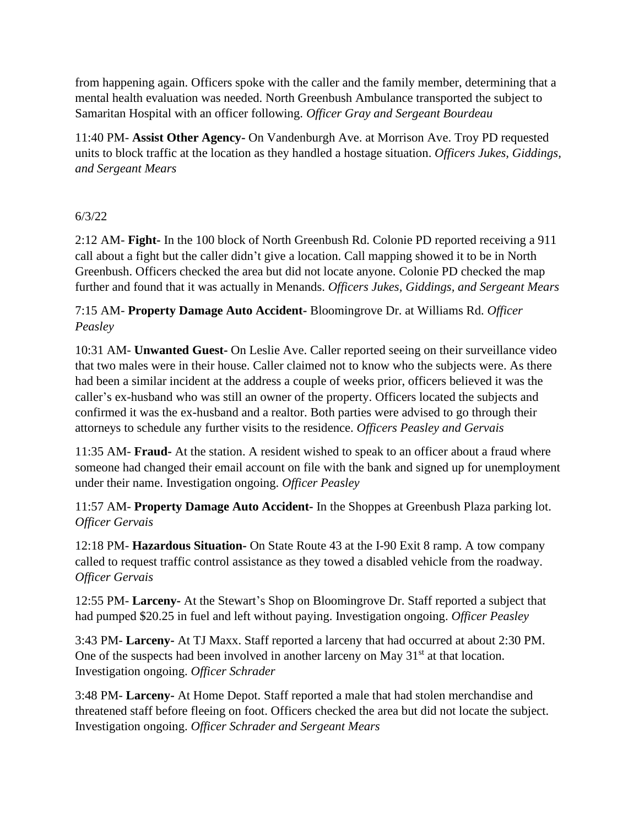from happening again. Officers spoke with the caller and the family member, determining that a mental health evaluation was needed. North Greenbush Ambulance transported the subject to Samaritan Hospital with an officer following. *Officer Gray and Sergeant Bourdeau*

11:40 PM- **Assist Other Agency-** On Vandenburgh Ave. at Morrison Ave. Troy PD requested units to block traffic at the location as they handled a hostage situation. *Officers Jukes, Giddings, and Sergeant Mears*

## 6/3/22

2:12 AM- **Fight-** In the 100 block of North Greenbush Rd. Colonie PD reported receiving a 911 call about a fight but the caller didn't give a location. Call mapping showed it to be in North Greenbush. Officers checked the area but did not locate anyone. Colonie PD checked the map further and found that it was actually in Menands. *Officers Jukes, Giddings, and Sergeant Mears*

7:15 AM- **Property Damage Auto Accident-** Bloomingrove Dr. at Williams Rd. *Officer Peasley*

10:31 AM- **Unwanted Guest-** On Leslie Ave. Caller reported seeing on their surveillance video that two males were in their house. Caller claimed not to know who the subjects were. As there had been a similar incident at the address a couple of weeks prior, officers believed it was the caller's ex-husband who was still an owner of the property. Officers located the subjects and confirmed it was the ex-husband and a realtor. Both parties were advised to go through their attorneys to schedule any further visits to the residence. *Officers Peasley and Gervais*

11:35 AM- **Fraud-** At the station. A resident wished to speak to an officer about a fraud where someone had changed their email account on file with the bank and signed up for unemployment under their name. Investigation ongoing. *Officer Peasley*

11:57 AM- **Property Damage Auto Accident-** In the Shoppes at Greenbush Plaza parking lot. *Officer Gervais*

12:18 PM- **Hazardous Situation-** On State Route 43 at the I-90 Exit 8 ramp. A tow company called to request traffic control assistance as they towed a disabled vehicle from the roadway. *Officer Gervais*

12:55 PM- **Larceny-** At the Stewart's Shop on Bloomingrove Dr. Staff reported a subject that had pumped \$20.25 in fuel and left without paying. Investigation ongoing. *Officer Peasley*

3:43 PM- **Larceny-** At TJ Maxx. Staff reported a larceny that had occurred at about 2:30 PM. One of the suspects had been involved in another larceny on May  $31<sup>st</sup>$  at that location. Investigation ongoing. *Officer Schrader*

3:48 PM- **Larceny-** At Home Depot. Staff reported a male that had stolen merchandise and threatened staff before fleeing on foot. Officers checked the area but did not locate the subject. Investigation ongoing. *Officer Schrader and Sergeant Mears*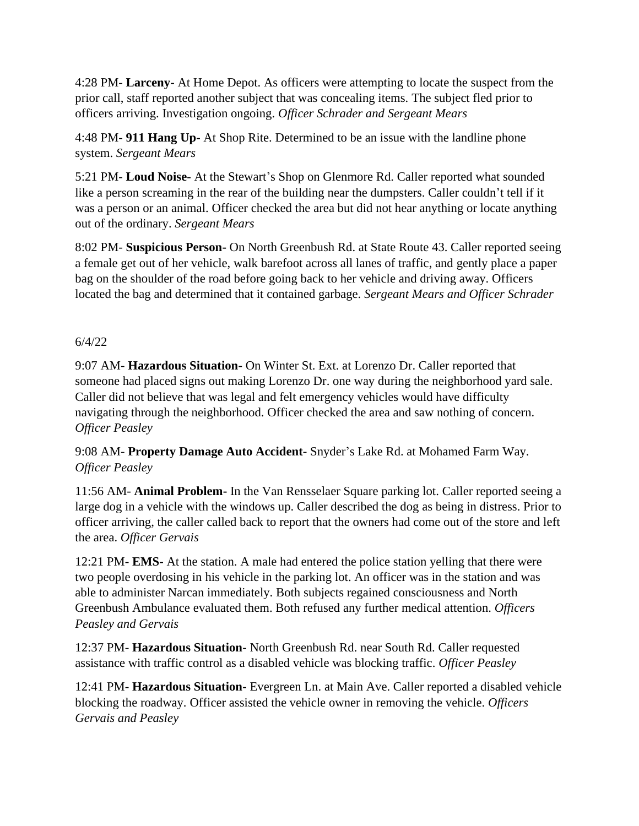4:28 PM- **Larceny-** At Home Depot. As officers were attempting to locate the suspect from the prior call, staff reported another subject that was concealing items. The subject fled prior to officers arriving. Investigation ongoing. *Officer Schrader and Sergeant Mears*

4:48 PM- **911 Hang Up-** At Shop Rite. Determined to be an issue with the landline phone system. *Sergeant Mears*

5:21 PM- **Loud Noise-** At the Stewart's Shop on Glenmore Rd. Caller reported what sounded like a person screaming in the rear of the building near the dumpsters. Caller couldn't tell if it was a person or an animal. Officer checked the area but did not hear anything or locate anything out of the ordinary. *Sergeant Mears*

8:02 PM- **Suspicious Person-** On North Greenbush Rd. at State Route 43. Caller reported seeing a female get out of her vehicle, walk barefoot across all lanes of traffic, and gently place a paper bag on the shoulder of the road before going back to her vehicle and driving away. Officers located the bag and determined that it contained garbage. *Sergeant Mears and Officer Schrader*

## 6/4/22

9:07 AM- **Hazardous Situation-** On Winter St. Ext. at Lorenzo Dr. Caller reported that someone had placed signs out making Lorenzo Dr. one way during the neighborhood yard sale. Caller did not believe that was legal and felt emergency vehicles would have difficulty navigating through the neighborhood. Officer checked the area and saw nothing of concern. *Officer Peasley*

9:08 AM- **Property Damage Auto Accident-** Snyder's Lake Rd. at Mohamed Farm Way. *Officer Peasley*

11:56 AM- **Animal Problem-** In the Van Rensselaer Square parking lot. Caller reported seeing a large dog in a vehicle with the windows up. Caller described the dog as being in distress. Prior to officer arriving, the caller called back to report that the owners had come out of the store and left the area. *Officer Gervais*

12:21 PM- **EMS-** At the station. A male had entered the police station yelling that there were two people overdosing in his vehicle in the parking lot. An officer was in the station and was able to administer Narcan immediately. Both subjects regained consciousness and North Greenbush Ambulance evaluated them. Both refused any further medical attention. *Officers Peasley and Gervais*

12:37 PM- **Hazardous Situation-** North Greenbush Rd. near South Rd. Caller requested assistance with traffic control as a disabled vehicle was blocking traffic. *Officer Peasley*

12:41 PM- **Hazardous Situation-** Evergreen Ln. at Main Ave. Caller reported a disabled vehicle blocking the roadway. Officer assisted the vehicle owner in removing the vehicle. *Officers Gervais and Peasley*